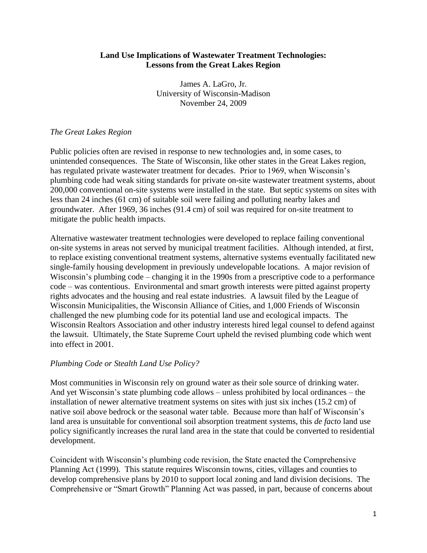## **Land Use Implications of Wastewater Treatment Technologies: Lessons from the Great Lakes Region**

James A. LaGro, Jr. University of Wisconsin-Madison November 24, 2009

# *The Great Lakes Region*

Public policies often are revised in response to new technologies and, in some cases, to unintended consequences. The State of Wisconsin, like other states in the Great Lakes region, has regulated private wastewater treatment for decades. Prior to 1969, when Wisconsin's plumbing code had weak siting standards for private on-site wastewater treatment systems, about 200,000 conventional on-site systems were installed in the state. But septic systems on sites with less than 24 inches (61 cm) of suitable soil were failing and polluting nearby lakes and groundwater. After 1969, 36 inches (91.4 cm) of soil was required for on-site treatment to mitigate the public health impacts.

Alternative wastewater treatment technologies were developed to replace failing conventional on-site systems in areas not served by municipal treatment facilities. Although intended, at first, to replace existing conventional treatment systems, alternative systems eventually facilitated new single-family housing development in previously undevelopable locations. A major revision of Wisconsin's plumbing code – changing it in the 1990s from a prescriptive code to a performance code – was contentious. Environmental and smart growth interests were pitted against property rights advocates and the housing and real estate industries. A lawsuit filed by the League of Wisconsin Municipalities, the Wisconsin Alliance of Cities, and 1,000 Friends of Wisconsin challenged the new plumbing code for its potential land use and ecological impacts. The Wisconsin Realtors Association and other industry interests hired legal counsel to defend against the lawsuit. Ultimately, the State Supreme Court upheld the revised plumbing code which went into effect in 2001.

### *Plumbing Code or Stealth Land Use Policy?*

Most communities in Wisconsin rely on ground water as their sole source of drinking water. And yet Wisconsin's state plumbing code allows – unless prohibited by local ordinances – the installation of newer alternative treatment systems on sites with just six inches (15.2 cm) of native soil above bedrock or the seasonal water table. Because more than half of Wisconsin's land area is unsuitable for conventional soil absorption treatment systems, this *de facto* land use policy significantly increases the rural land area in the state that could be converted to residential development.

Coincident with Wisconsin's plumbing code revision, the State enacted the Comprehensive Planning Act (1999). This statute requires Wisconsin towns, cities, villages and counties to develop comprehensive plans by 2010 to support local zoning and land division decisions. The Comprehensive or "Smart Growth" Planning Act was passed, in part, because of concerns about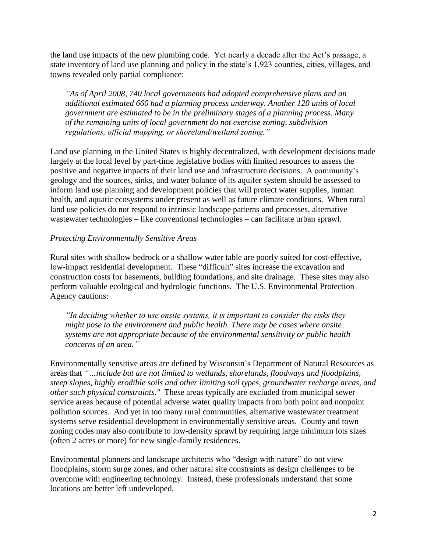the land use impacts of the new plumbing code. Yet nearly a decade after the Act's passage, a state inventory of land use planning and policy in the state's 1,923 counties, cities, villages, and towns revealed only partial compliance:

*"As of April 2008, 740 local governments had adopted comprehensive plans and an additional estimated 660 had a planning process underway. Another 120 units of local government are estimated to be in the preliminary stages of a planning process. Many of the remaining units of local government do not exercise zoning, subdivision regulations, official mapping, or shoreland/wetland zoning."*

Land use planning in the United States is highly decentralized, with development decisions made largely at the local level by part-time legislative bodies with limited resources to assess the positive and negative impacts of their land use and infrastructure decisions. A community's geology and the sources, sinks, and water balance of its aquifer system should be assessed to inform land use planning and development policies that will protect water supplies, human health, and aquatic ecosystems under present as well as future climate conditions. When rural land use policies do not respond to intrinsic landscape patterns and processes, alternative wastewater technologies – like conventional technologies – can facilitate urban sprawl.

### *Protecting Environmentally Sensitive Areas*

Rural sites with shallow bedrock or a shallow water table are poorly suited for cost-effective, low-impact residential development. These "difficult" sites increase the excavation and construction costs for basements, building foundations, and site drainage. These sites may also perform valuable ecological and hydrologic functions. The U.S. Environmental Protection Agency cautions:

*"In deciding whether to use onsite systems, it is important to consider the risks they might pose to the environment and public health. There may be cases where onsite systems are not appropriate because of the environmental sensitivity or public health concerns of an area."*

Environmentally sensitive areas are defined by Wisconsin's Department of Natural Resources as areas that *"…include but are not limited to wetlands, shorelands, floodways and floodplains, steep slopes, highly erodible soils and other limiting soil types, groundwater recharge areas, and other such physical constraints."* These areas typically are excluded from municipal sewer service areas because of potential adverse water quality impacts from both point and nonpoint pollution sources. And yet in too many rural communities, alternative wastewater treatment systems serve residential development in environmentally sensitive areas. County and town zoning codes may also contribute to low-density sprawl by requiring large minimum lots sizes (often 2 acres or more) for new single-family residences.

Environmental planners and landscape architects who "design with nature" do not view floodplains, storm surge zones, and other natural site constraints as design challenges to be overcome with engineering technology. Instead, these professionals understand that some locations are better left undeveloped.